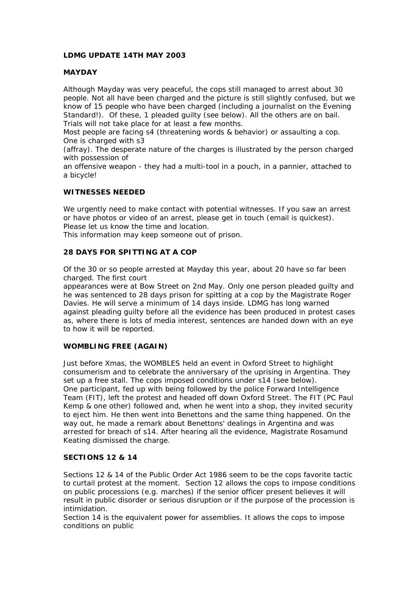# **LDMG UPDATE 14TH MAY 2003**

## **MAYDAY**

Although Mayday was very peaceful, the cops still managed to arrest about 30 people. Not all have been charged and the picture is still slightly confused, but we know of 15 people who have been charged (including a journalist on the Evening Standard!). Of these, 1 pleaded guilty (see below). All the others are on bail. Trials will not take place for at least a few months.

Most people are facing s4 (threatening words & behavior) or assaulting a cop. One is charged with s3

(affray). The desperate nature of the charges is illustrated by the person charged with possession of

an offensive weapon - they had a multi-tool in a pouch, in a pannier, attached to a bicycle!

#### **WITNESSES NEEDED**

We urgently need to make contact with potential witnesses. If you saw an arrest or have photos or video of an arrest, please get in touch (email is quickest). Please let us know the time and location.

This information may keep someone out of prison.

# **28 DAYS FOR SPITTING AT A COP**

Of the 30 or so people arrested at Mayday this year, about 20 have so far been charged. The first court

appearances were at Bow Street on 2nd May. Only one person pleaded guilty and he was sentenced to 28 days prison for spitting at a cop by the Magistrate Roger Davies. He will serve a minimum of 14 days inside. LDMG has long warned against pleading guilty before all the evidence has been produced in protest cases as, where there is lots of media interest, sentences are handed down with an eye to how it will be reported.

## **WOMBLING FREE (AGAIN)**

Just before Xmas, the WOMBLES held an event in Oxford Street to highlight consumerism and to celebrate the anniversary of the uprising in Argentina. They set up a free stall. The cops imposed conditions under s14 (see below). One participant, fed up with being followed by the police Forward Intelligence Team (FIT), left the protest and headed off down Oxford Street. The FIT (PC Paul Kemp & one other) followed and, when he went into a shop, they invited security to eject him. He then went into Benettons and the same thing happened. On the way out, he made a remark about Benettons' dealings in Argentina and was arrested for breach of s14. After hearing all the evidence, Magistrate Rosamund Keating dismissed the charge.

#### **SECTIONS 12 & 14**

Sections 12 & 14 of the Public Order Act 1986 seem to be the cops favorite tactic to curtail protest at the moment. Section 12 allows the cops to impose conditions on public processions (e.g. marches) if the senior officer present believes it will result in public disorder or serious disruption or if the purpose of the procession is intimidation.

Section 14 is the equivalent power for assemblies. It allows the cops to impose conditions on public